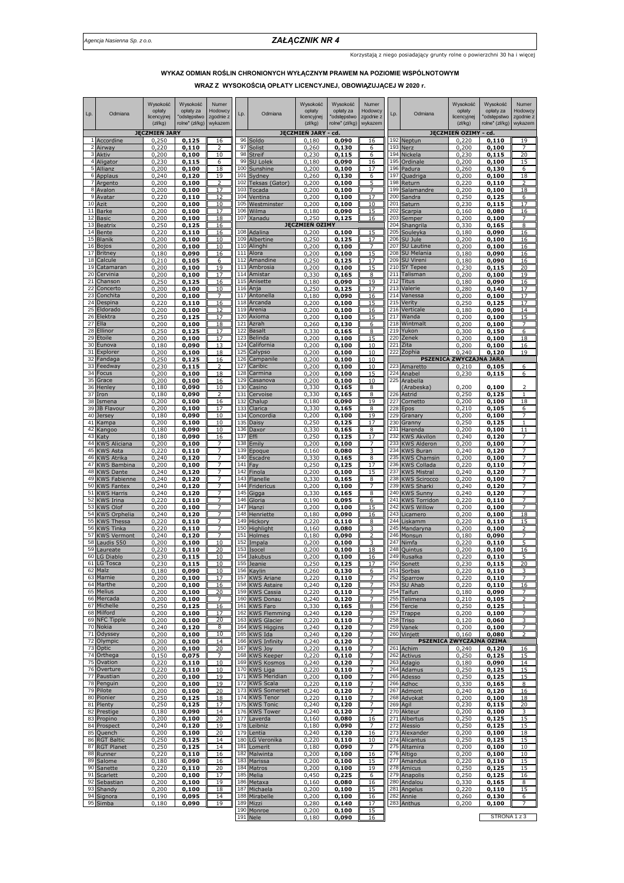## *Agencja Nasienna Sp. z o.o. ZAŁĄCZNIK NR 4*

Korzystają z niego posiadający grunty rolne o powierzchni 30 ha i więcej

## **WYKAZ ODMIAN ROŚLIN CHRONIONYCH WYŁĄCZNYM PRAWEM NA POZIOMIE WSPÓLNOTOWYM**

**WRAZ Z WYSOKOŚCIĄ OPŁATY LICENCYJNEJ, OBOWIĄZUJĄCEJ W 2020 r.**

| Lp.                 | Odmiana                                | Wysokość<br>opłaty<br>licencyjnej<br>(zk/kg) | Wysokość<br>opłaty za<br>"odstępstwo<br>rolne" (zł/kg) | Numer<br>Hodowcy<br>zgodnie z<br>wykazem | Lp.        | Odmiana                              | Wysokość<br>opłaty<br>licencyjnej<br>(zk/kg) | Wysokość<br>opłaty za<br>'odstępstwo<br>rolne" (zł/kg) | Numer<br>Hodowcy<br>zgodnie z<br>wykazem | Lp.        | Odmiana                                   | Wysokość<br>opłaty<br>licencyjnej<br>(zk/kg) | Wysokość<br>opłaty za<br>"odstępstwo<br>rolne" (zł/kg) | Numer<br>Hodowcy<br>zgodnie z<br>wykazem |
|---------------------|----------------------------------------|----------------------------------------------|--------------------------------------------------------|------------------------------------------|------------|--------------------------------------|----------------------------------------------|--------------------------------------------------------|------------------------------------------|------------|-------------------------------------------|----------------------------------------------|--------------------------------------------------------|------------------------------------------|
|                     | 1 Accordine                            | <b>JECZMIEŃ JARY</b><br>0,250                | 0,125                                                  | 16                                       | 96         | Soldo                                | <b>JĘCZMIEŃ JARY</b><br>0,180                | - cd.<br>0,090                                         | 16                                       | 192        | Neptun                                    | JĘCZMIEŃ OZIMY<br>0,220                      | - cd.<br>0,110                                         | 19                                       |
|                     | 2 Airway                               | 0,220                                        | 0,110                                                  | $\overline{2}$                           | 97         | Solist                               | 0,260                                        | 0,130                                                  | 6                                        | 193        | Nerz                                      | 0,200                                        | 0,100                                                  | 7                                        |
| 3<br>4              | Aktiv<br>Aligator                      | 0,200<br>0,230                               | 0,100<br>0,115                                         | 10<br>6                                  | 98<br>99   | Streif<br><b>SU Lolek</b>            | 0,230<br>0,180                               | 0,115<br>0,090                                         | 6<br>16                                  | 194<br>195 | Nickela<br>Ordinale                       | 0,230<br>0,200                               | 0,115<br>0,100                                         | 20<br>15                                 |
| 5                   | Allianz                                | 0,200                                        | 0,100                                                  | <u>18</u>                                | 100        | Sunshine                             | 0,200                                        | 0,100                                                  | 17                                       | 196        | Padura                                    | 0,260                                        | 0,130                                                  | 6                                        |
|                     | 6 Applaus                              | 0,240                                        | 0,120                                                  | 19<br>っ                                  | 101        | Sydney                               | 0,260                                        | 0,130                                                  | 6<br>5                                   | 197        | Quadriga                                  | 0,200                                        | 0,100                                                  | 18<br>$\overline{ }$                     |
| $\overline{7}$<br>8 | Argento<br>Avalon                      | 0,200<br>0,200                               | 0,100<br>0,100                                         | 17                                       | 102<br>103 | Teksas (Gator)<br>Tocada             | 0,200<br>0,200                               | 0,100<br>0,100                                         |                                          | 198<br>199 | Return<br>Salamandre                      | 0,220<br>0,200                               | 0,110<br>0,100                                         | 18                                       |
| 9                   | Avatar                                 | 0,220                                        | 0,110                                                  | 12                                       | 104        | Ventina                              | 0,200                                        | 0,100                                                  | 17                                       | 200        | Sandra                                    | 0,250                                        | 0,125                                                  | 6                                        |
| 10<br>11            | Azit<br><b>Barke</b>                   | 0,200<br>0,200                               | 0,100<br>0,100                                         | 10<br>17                                 | 105<br>106 | Westminster<br>Wilma                 | 0,200<br>0,180                               | 0,100<br>0,090                                         | 10<br>15                                 | 201<br>202 | Saturn<br>Scarpia                         | 0,230<br>0,160                               | 0,115<br>0,080                                         | 17<br>16                                 |
| 12                  | <b>Basic</b>                           | 0,200                                        | 0,100                                                  | 18                                       | 107        | Xanadu                               | 0,250                                        | 0,125                                                  | 16                                       | 203        | Semper                                    | 0,200                                        | 0,100                                                  |                                          |
| 13<br>14            | Beatrix<br>Bente                       | 0,250<br>0,220                               | 0,125<br>0.110                                         | 16<br>16                                 | 108        | Adalina                              | <b>JECZMIEŃ OZIMY</b><br>0,200               | 0,100                                                  | 15                                       | 204<br>205 | Shangrila<br>Souleyka                     | 0,330<br>0,180                               | 0,165<br>0,090                                         | 8<br>16                                  |
| 15                  | Blanik                                 | 0,200                                        | 0,100                                                  | 10                                       | 109        | Albertine                            | 0,250                                        | 0,125                                                  | 17                                       | 206        | SU Jule                                   | 0,200                                        | 0,100                                                  | 16                                       |
| 16<br>17            | Bojos<br>Britney                       | 0,200<br>0,180                               | 0,100<br>0,090                                         | 10<br>16                                 | 110<br>111 | Alinghi<br>Alora                     | 0,200<br>0,200                               | 0,100<br>0,100                                         | 15                                       | 207<br>208 | SU Lautine<br>SU Melania                  | ,200<br>0.<br>0,180                          | 0,100<br>0,090                                         | 16<br><u>16</u>                          |
| 18                  | Calcule                                | 0,210                                        | 0,105                                                  | 6                                        | 112        | Amandine                             | 0,250                                        | 0,125                                                  | 17                                       | 209        | <b>SU Vireni</b>                          | 0,180                                        | 0,090                                                  | 16                                       |
| 19<br>20            | Catamaran<br>Cervinia                  | 0,200<br>0,200                               | 0,100<br>0,100                                         | 19<br>17                                 | 113<br>114 | Ambrosia<br>Amistar                  | 0,200<br>0,330                               | 0,100<br>0,165                                         | 15<br>8                                  | 210<br>211 | <b>SY Tepee</b><br>Talisman               | 0,230<br>0,200                               | 0,115<br>0,100                                         | эr<br>19                                 |
| 21                  | Chanson                                | 0,250                                        | 0,125                                                  | 16                                       | 115        | Anisette                             | 0,180                                        | 0,090                                                  | 19                                       | 212        | Titus                                     | 0,180                                        | 0,090                                                  | 16                                       |
| 22<br>23            | Concerto<br>Conchita                   | 0,200                                        | 0,100                                                  | 10<br>$\overline{7}$                     | 116<br>117 | Anja<br>Antonella                    | 0,250                                        | 0,125                                                  | 17                                       | 213<br>214 | Valerie<br>Vanessa                        | 0,280                                        | 0,140                                                  | 17<br>17                                 |
| 24                  | Despina                                | 0,200<br>0,220                               | 0,100<br>0,110                                         | 16                                       | 118        | Arcanda                              | 0,180<br>0,200                               | 0,090<br>0,100                                         | 16<br>15                                 | 215        | Verity                                    | 0,200<br>0,250                               | 0,100<br>0,125                                         | 17                                       |
| 25                  | Eldorado                               | 0,200                                        | 0,100                                                  | 12                                       | 119        | Arenia                               | 0,200                                        | 0,100                                                  | 16                                       | 216        | Verticale                                 | 0,180                                        | 0,090                                                  | 14                                       |
| 26<br>27            | Elektra<br>Ella                        | 0,250<br>0,200                               | 0,125<br>0,100                                         | 17<br>18                                 | 120<br>121 | Axioma<br>Azrah                      | 0,200<br>0,260                               | 0,100<br>0,130                                         | 15<br>6                                  | 217<br>218 | Wanda<br>Wintmalt                         | 0,200<br>0,200                               | 0.100<br>0,100                                         | 15<br>7                                  |
| 28                  | Ellinor                                | 0,250                                        | 0,125                                                  | 17                                       | 122        | Basalt                               | 0,330                                        | 0,165                                                  | 8                                        | 219        | Yukon                                     | 0,300                                        | 0,150                                                  | 6                                        |
| 29<br>30            | Etoile<br>Eunova                       | 0,200<br>0,180                               | 0,100<br>0,090                                         | 17<br>13                                 | 123<br>124 | Belinda<br>California                | 0,200<br>0,200                               | 0,100<br>0,100                                         | 15<br>10                                 | 220<br>221 | Zenek<br>Zita                             | 0,200<br>0,200                               | 0,100<br>0,100                                         | 18<br>16                                 |
| 31                  | Explorer                               | 0,200                                        | 0,100                                                  | 18                                       | 125        | Calypso                              | 0,200                                        | 0,100                                                  | 10                                       | 222        | Zophia                                    | 0.240                                        | 0,120                                                  | 19                                       |
| 32<br>33            | Fandaga<br>Feedway                     | 0,250<br>0,230                               | 0,125<br>0,115                                         | <u>16</u>                                | 126<br>127 | Campanile<br>Caribic                 | 0,200<br>0,200                               | 0,100<br>0,100                                         | 10<br>10                                 | 223        | <b>PSZENICA</b><br>Amaretto               | <b>ZWYCZAJNA JARA</b><br>0,210               | 0,105                                                  | 6                                        |
| 34                  | Focus                                  | 0,200                                        | 0,100                                                  | 18                                       | 128        | Carmina                              | 0,200                                        | 0,100                                                  | 15                                       | 224        | Anabe                                     | 0,230                                        | 0.115                                                  | 6                                        |
| 35<br>36            | Grace<br>Henley                        | 0,200                                        | 0,100                                                  | 16<br>10                                 | 129<br>130 | Casanova<br>Casino                   | 0,200<br>0,330                               | 0,100                                                  | 10<br>8                                  | 225        | Arabella                                  | 0,200                                        | 0,100                                                  | $\overline{\phantom{0}}$                 |
| 37                  | Iron                                   | 0,180<br>0,180                               | 0,090<br>0,090                                         |                                          | 131        | Cervoise                             | 0,330                                        | 0,165<br>0,165                                         | 8                                        | 226        | Arabeska)<br>Astrid                       | 0,250                                        | 0,125                                                  |                                          |
| 38                  | Ismena                                 | 0,200                                        | 0,100                                                  | 16                                       | 132        | Chalup                               | 0,180                                        | 0,090                                                  | 19                                       | 227        | Cornetto                                  | 0,200                                        | 0,100                                                  | 18                                       |
| 39<br>40            | JB Flavour<br>Jersey                   | 0,200<br>0,180                               | 0,100<br>0,090                                         | 17<br>10                                 | 133<br>134 | Clarica<br>Concordia                 | 0,330<br>0,200                               | 0,165<br>0,100                                         | 8<br>19                                  | 228<br>229 | Epos<br>Granary                           | 0,210<br>0,200                               | 0,105<br>0,100                                         | 6<br>7                                   |
| 41                  | Kampa                                  | 0,200                                        | 0,100                                                  | 10                                       | 135        | Daisy                                | 0,250                                        | 0,125                                                  | 17                                       | 230        | Granny                                    | 0,250                                        | 0,125                                                  |                                          |
| 42<br>43            | Kangoo<br>Katy                         | 0,180<br>0,180                               | 0,090<br>0,090                                         | 10<br>16                                 | 136<br>137 | Daxor<br>Effi                        | 0,330<br>0,250                               | 0,165<br>0,125                                         | 8<br>17                                  | 231<br>232 | Harenda<br><b>KWS Akvilon</b>             | 0,200<br>0,240                               | 0,100<br>0,120                                         | 11                                       |
| 44                  | <b>KWS Aliciana</b>                    | 0,200                                        | 0,100                                                  |                                          | 138        | Emily                                | 0,200                                        | 0,100                                                  |                                          | 233        | <b>KWS Alderon</b>                        | 0,200                                        | 0,100                                                  |                                          |
| 45<br>46            | <b>KWS Asta</b><br><b>KWS Atrika</b>   | 0,220<br>0,240                               | 0,110<br>0,120                                         | 7                                        | 139<br>140 | Epoque<br>Escadre                    | 0,160<br>0,330                               | 0,080<br>0,165                                         | 8                                        | 234<br>235 | KWS Buran<br><b>KWS Chamsin</b>           | 0,240<br>0,200                               | 0,120<br>0,100                                         | 7                                        |
| 47                  | KWS Bambina                            | 0,200                                        | 0,100                                                  | 7                                        | 141        | Fay                                  | 0,250                                        | 0,125                                                  | 17                                       | 236        | <b>KWS Collada</b>                        | 0,220                                        | 0,110                                                  |                                          |
| 48<br>49            | <b>KWS Dante</b><br>KWS Fabienne       | 0,240<br>0,240                               | 0,120<br>0,120                                         | 7<br>7                                   | 142<br>143 | Finola<br>Flanelle                   | 0,200<br>0,330                               | 0,100<br>0,165                                         | 15<br>8                                  | 237<br>238 | <b>KWS Mistral</b><br><b>KWS Scirocco</b> | 0,240<br>0,200                               | 0,120<br>0,100                                         | 7<br>7                                   |
| 50                  | <b>KWS Fantex</b>                      | 0,240                                        | 0,120                                                  | 7                                        | 144        | Fridericus                           | 0,200                                        | 0,100                                                  | 7                                        | 239        | <b>KWS Sharki</b>                         | 0,240                                        | 0,120                                                  | 7                                        |
| 51<br>52            | <b>KWS Harris</b><br><b>KWS Irina</b>  | 0,240                                        | 0,120                                                  | 7<br>$\overline{7}$                      | 145<br>146 | Gigga<br>Gloria                      | 0,330<br>0,190                               | 0,165                                                  | 8<br>6                                   | 240<br>241 | <b>KWS Sunny</b><br><b>KWS Torridon</b>   | 0,240<br>0,220                               | 0,120                                                  | 7<br>7                                   |
| 53                  | <b>KWS Olof</b>                        | 0,220<br>0,200                               | 0,110<br>0,100                                         | 7                                        | 147        | Hanzi                                | 0,200                                        | 0,095<br>0,100                                         | 15                                       | 242        | <b>KWS Willow</b>                         | 0,200                                        | 0,110<br>0,100                                         | 7                                        |
| 54<br>55            | KWS Orphelia                           | 0,240                                        | 0,120<br>0,110                                         | 7                                        | 148<br>149 | Henriette                            | 0,180                                        | 0,090                                                  | 16                                       | 243<br>244 | Licamero                                  | 0,200                                        | 0,100                                                  | 18<br>15                                 |
| 56                  | KWS Thessa<br>KWS Tinka                | 0,220<br>0,220                               | 0,110                                                  | 7<br>7                                   | 150        | Hickory<br>Highlight                 | 0,220<br>0,160                               | 0,110<br>0,080                                         | 8<br>3                                   | 245        | Liskamm<br>Mandaryna                      | 0,220<br>0,200                               | 0,110<br>0,100                                         | $\overline{2}$                           |
| 57                  | <b>KWS Vermont</b>                     | 0,240                                        | 0,120                                                  |                                          | 151        | Holmes                               | 0,180                                        | 0,090                                                  |                                          | 246        | Monsun                                    | 0,180                                        | 0,090                                                  |                                          |
| 58<br>59            | Laudis 550<br>Laureate                 | 0,200<br>0,220                               | 0,100<br>0,110                                         | 10<br>20                                 | 152<br>153 | Impala<br>Isocel                     | 0,200<br>0,200                               | 0,100<br>0,100                                         | <u>18</u>                                | 247<br>248 | Nimfa<br>Quintus                          | 0,220<br>0,200                               | 0,110<br>0,100                                         | <u>16</u>                                |
| 60                  | LG Diablo                              | 0,230                                        | 0,115                                                  | 10                                       | 154        | Jakubus                              | 0,200                                        | 0,100                                                  | 16                                       | 249        | Rusałka                                   | 0,220                                        | 0,110                                                  | 5                                        |
| 61                  | LG Tosca<br>62 Malz                    | 0,230<br>0,180                               | 0,115<br>0,090                                         | 10<br>10                                 | 155        | Jeanie<br>156 Kaylin                 | 0,250<br>0,260                               | 0,125<br>0,130                                         | 17<br>6                                  | 250        | Sonett<br>251 Sorbas                      | 0,230<br>0,220                               | 0,115<br>0,110                                         | 20<br>3                                  |
|                     | 63 Marnie                              | 0,200                                        | 0,100                                                  | 17                                       | 157        | <b>KWS Ariane</b>                    | 0,220                                        | 0,110                                                  | 7                                        |            | 252 Sparrow                               | 0,220                                        | 0,110                                                  | 7                                        |
|                     | 64 Marthe<br>65 Melius                 | 0,200<br>0,200                               | 0,100<br>0,100                                         | 16<br>20                                 | 158        | <b>KWS Astaire</b><br>159 KWS Cassia | 0,240<br>0,220                               | 0,120<br>0,110                                         | $\overline{7}$<br>$\overline{7}$         |            | 253 SU Ahab<br>254 Taifun                 | 0,220<br>0,180                               | 0,110<br>0,090                                         | 16<br>7                                  |
|                     | 66 Mercada                             | 0,200                                        | 0,100                                                  |                                          |            | 160 KWS Donau                        | 0,240                                        | 0,120                                                  |                                          |            | 255 Telimena                              | 0,210                                        | 0,105                                                  | $\overline{a}$                           |
|                     | 67 Michelle<br>68 Milford              | 0,250<br>0,200                               | 0,125<br>0,100                                         | 16<br>17                                 | 162        | 161 KWS Faro<br><b>KWS Flemming</b>  | 0,330<br>0,240                               | 0,165<br>0,120                                         | 8<br>7                                   |            | 256 Tercie<br>257 Trappe                  | 0,250<br>0,200                               | 0,125<br>0,100                                         | 1<br>7                                   |
|                     | 69 NFC Tipple                          | 0,200                                        | 0,100                                                  | 20                                       | 163        | <b>KWS Glacier</b>                   | 0,220                                        | 0,110                                                  | $\overline{7}$                           |            | 258 Triso                                 | 0,120                                        | 0,060                                                  | 3                                        |
|                     | 70 Nokia<br>71 Odyssey                 | 0,240<br>0,200                               | 0,120<br>0,100                                         | 8<br>10                                  | 164<br>165 | <b>KWS Higgins</b><br>KWS Ida        | 0,240<br>0,240                               | 0,120<br>0,120                                         | 7<br>7                                   |            | 259 Vanek<br>260 Vinjett                  | 0,200<br>0,160                               | 0,100<br>0.080                                         | 7<br>2                                   |
| 72                  | Olympic                                | 0,200                                        | 0,100                                                  | 14                                       | 166        | <b>KWS Infinity</b>                  | 0,240                                        | 0,120                                                  | 7                                        |            |                                           | PSZENICA ZWYCZAJNA OZIMA                     |                                                        |                                          |
|                     | 73 Optic<br>74 Orthega                 | 0,200<br>0,150                               | 0,100<br>0,075                                         | 20                                       | 167<br>168 | <b>KWS Joy</b><br><b>KWS Keeper</b>  | 0,220<br>0,220                               | 0,110<br>0,110                                         | 7<br>7                                   |            | 261 Achim<br>262 Activus                  | 0,240<br>0,250                               | 0,120<br>0,125                                         | 16<br>15                                 |
| 75                  | Ovation                                | 0,220                                        | 0,110                                                  | 10                                       | 169        | <b>KWS Kosmos</b>                    | 0,240                                        | 0,120                                                  |                                          |            | 263 Adagio                                | 0,180                                        | 0,090                                                  | 14                                       |
| 77                  | 76 Overture<br>Paustian                | 0,220                                        | 0,110                                                  | 10<br>19                                 | 170        | <b>KWS Liga</b><br>171 KWS Meridian  | 0,220                                        | 0,110                                                  | 7<br>$\overline{7}$                      |            | 264 Adamus                                | 0,250                                        | 0,125                                                  | 15<br>15                                 |
|                     | 78 Penguin                             | 0,200<br>0,200                               | 0,100<br>0,100                                         | 19                                       | 172        | <b>KWS Scala</b>                     | 0,200<br>0,220                               | 0,100<br>0,110                                         | 7                                        | 265        | Adesso<br>266 Adhoc                       | 0,250<br>0,330                               | 0,125<br>0,165                                         | 8                                        |
| 79                  | Pilote                                 | 0,200                                        | 0,100                                                  | 20                                       |            | 173 KWS Somerset                     | 0,240                                        | 0,120                                                  | 7                                        |            | 267 Admont                                | 0,240                                        | 0,120                                                  | 16                                       |
| 81                  | 80 Pionier<br>Plenty                   | 0.250<br>0,250                               | 0,125<br>0,125                                         | 18<br>17                                 | 175        | 174 KWS Tenor<br><b>KWS Tonic</b>    | 0,220<br>0,240                               | 0,110<br>0,120                                         | 7<br>7                                   |            | 268 Advokat<br>269 Agil                   | 0,200<br>0,230                               | 0,100<br>0,115                                         | 18<br>20                                 |
| 82                  | Prestige                               | 0,180                                        | 0,090                                                  | 14                                       | 176        | <b>KWS Tower</b>                     | 0,240                                        | 0,120                                                  | 7                                        |            | 270 Akteur                                | 0,200                                        | 0,100                                                  | 3                                        |
| 83                  | Propino<br>84 Prospect                 | 0,200<br>0,240                               | 0,100<br>0,120                                         | 20<br>19                                 | 177<br>178 | Laverda<br>Leibniz                   | 0,160<br>0,180                               | 0,080<br>0,090                                         | 16<br>7                                  |            | 271 Albertus<br>272 Alessio               | 0,250<br>0,250                               | 0,125<br>0,125                                         | 15<br>15                                 |
| 85                  | Quench                                 | 0,200                                        | 0,100                                                  | 20                                       | 179        | Lentia                               | 0,240                                        | 0,120                                                  | 16                                       |            | 273 Alexander                             | 0,200                                        | 0,100                                                  | 18                                       |
| 86<br>87            | <b>RGT Baltic</b><br><b>RGT Planet</b> | 0,250<br>0,250                               | 0,125<br>0,125                                         | 14<br>14                                 | 180<br>181 | LG Veronika<br>Lomerit               | 0,220<br>0,180                               | 0,110<br>0,090                                         | 10<br>7                                  |            | 274 Alicantus<br>275 Altamira             | 0,250<br>0,200                               | 0,125<br>0,100                                         | 15<br>10                                 |
|                     | 88 Runner                              | 0,220                                        | 0,110                                                  | 16                                       | 182        | Malwinta                             | 0,200                                        | 0,100                                                  | 16                                       |            | 276 Altigo                                | 0,200                                        | 0,100                                                  | 10                                       |
|                     | 89 Salome<br>90 Sanette                | 0,180<br>0,220                               | 0,090<br>0,110                                         | 16<br>20                                 | 183        | Marissa<br>184 Matros                | 0,200<br>0,200                               | 0,100<br>0,100                                         | 15<br>19                                 |            | 277 Amandus<br>278 Amicus                 | 0,220<br>0,250                               | 0,110<br>0,125                                         | 15<br>15                                 |
| 91                  | Scarlett                               | 0,200                                        | 0,100                                                  | 17                                       | 185        | Melia                                | 0,450                                        | 0,225                                                  | 6                                        |            | 279 Anapolis                              | 0,250                                        | 0,125                                                  | 16                                       |
| 92                  | Sebastian                              | 0,200                                        | 0,100                                                  | 19                                       | 187        | 186 Metaxa<br>Michaela               | 0,160                                        | 0,080                                                  | 16                                       |            | 280 Andalou                               | 0,330                                        | 0,165                                                  | 8                                        |
|                     | 93 Shandy<br>94 Signora                | 0,200<br>0,190                               | 0,100<br>0,095                                         | 18<br>14                                 | 188        | Mirabelle                            | 0,200<br>0,200                               | 0,100<br>0,100                                         | 15<br>16                                 |            | 281 Angelus<br>282 Annie                  | 0,220<br>0,260                               | 0,110<br>0,130                                         | 15<br>6                                  |
| 95                  | Simba                                  | 0,180                                        | 0,090                                                  | 19                                       | 189        | Mizzi                                | 0,280                                        | 0,140                                                  | 17                                       |            | 283 Anthus                                | 0,200                                        | 0,100                                                  |                                          |
|                     |                                        |                                              |                                                        |                                          |            | 190 Monroe<br>191 Nele               | 0,200<br>0,180                               | 0,100<br>0,090                                         | 15<br>16                                 |            |                                           |                                              | STRONA 1 z 3                                           |                                          |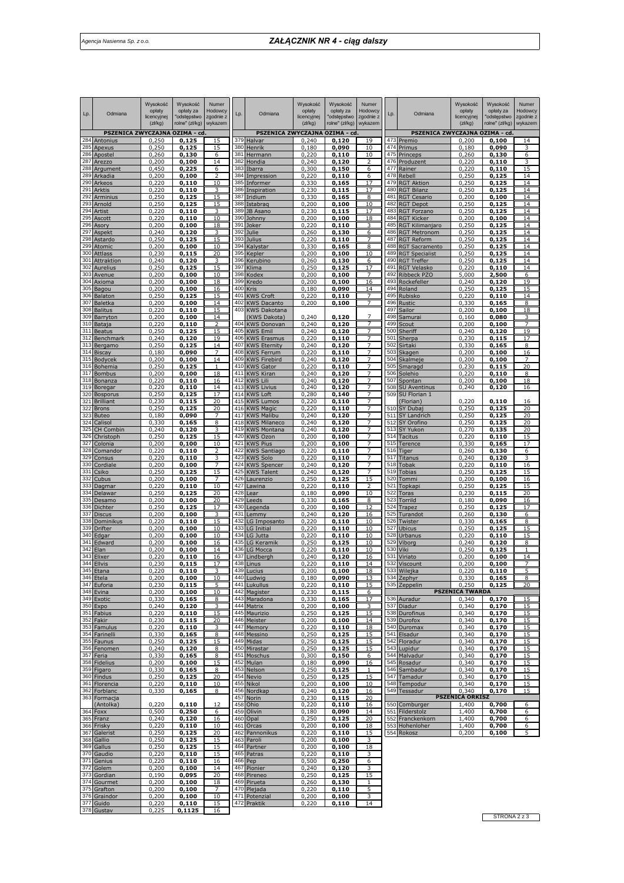| Lp.        | Odmiana                       | Wysokość<br>opłaty<br>licencyjnej<br>(zk/kg) | Wysokość<br>opłaty za<br>"odstępstwo<br>rolne" (zł/kg) | Numer<br>Hodowcy<br>zgodnie z<br>wykazem | Lp.        | Odmiana                                 | Wysokość<br>opłaty<br>licencyjnej<br>(zk/kg) | Wysokość<br>opłaty za<br>"odstępstwo<br>rolne" (zł/kg) | Numer<br>Hodowcy<br>zgodnie z<br>wykazem | Lp.        | Odmiana                                     | Wysokość<br>opłaty<br>licencyjnej<br>(zk/kg) | Wysokość<br>opłaty za<br>"odstępstwo<br>rolne" (zł/kg) | Numer<br>Hodowcy<br>zgodnie z<br>wykazem |
|------------|-------------------------------|----------------------------------------------|--------------------------------------------------------|------------------------------------------|------------|-----------------------------------------|----------------------------------------------|--------------------------------------------------------|------------------------------------------|------------|---------------------------------------------|----------------------------------------------|--------------------------------------------------------|------------------------------------------|
|            | PSZENICA ZWYCZAJNA OZIMA - cd |                                              |                                                        |                                          |            | PSZENICA ZWYCZAJNA OZIMA - cd           |                                              |                                                        |                                          |            | PSZENICA ZWYCZAJNA OZIMA - cd               |                                              |                                                        |                                          |
| 284<br>285 | Antonius<br>Apexus            | 0,250<br>0,250                               | 0,125<br>0,125                                         | 15<br>15                                 | 379<br>380 | Halvar<br>Henrik                        | 0,240<br>0,180                               | 0,120<br>0,090                                         | 19<br>10                                 |            | 473 Premio<br>474 Primus                    | 0,200<br>0,180                               | 0,100<br>0,090                                         | 14<br>3                                  |
| 286        | Apostel                       | 0,260                                        | 0,130                                                  | 6                                        | 381        | Hermann                                 | 0,220                                        | 0,110                                                  | 10                                       |            | 475 Princeps                                | 0,260                                        | 0,130                                                  | 6                                        |
| 287        | Arezzo                        | 0,200                                        | 0,100                                                  | 14                                       | 382        | Hondia                                  | 0,240                                        | 0,120                                                  | 2                                        | 476        | Produzent                                   | 0,220                                        | 0,110                                                  |                                          |
| 288<br>289 | Argument<br>Arkadia           | 0,450<br>0,200                               | 0,225<br>0,100                                         | 6<br>2                                   | 383<br>384 | Ibarra<br>Impression                    | 0,300<br>0,220                               | 0,150<br>0,110                                         | 6<br>6                                   |            | 477 Rainer<br>478 Rebell                    | 0,220<br>0,250                               | 0,110<br>0,125                                         | 14                                       |
| 290        | Arkeos                        | 0,220                                        | 0,110                                                  | 10                                       | 385        | Informer                                | 0,330                                        | 0,165                                                  | 17                                       |            | 479 RGT Aktion                              | 0,250                                        | 0,125                                                  | 14                                       |
| 291<br>292 | Arktis                        | 0,220                                        | 0,110                                                  | 3                                        |            | 386 Inspiration                         | 0,230                                        | 0,115                                                  | 17                                       |            | 480 RGT Bilanz                              | 0,250                                        | 0,125                                                  | 14                                       |
| 293        | Arminius<br>Arnold            | 0,250<br>0,250                               | 0,125<br>0,125                                         | 15<br>15                                 |            | 387 Iridium<br>388 Istabraq             | 0,330<br>0,200                               | 0,165<br>0,100                                         | 8<br>10                                  | 482        | 481 RGT Cesario<br><b>RGT Depot</b>         | 0,200<br>0,250                               | 0,100<br>0,125                                         | 14<br>14                                 |
| 294        | Artist                        | 0,220                                        | 0,110                                                  | 3                                        | 389        | JB Asano                                | 0,230                                        | 0,115                                                  | 17                                       | 483        | <b>RGT Forzano</b>                          | 0,250                                        | 0,125                                                  | 14                                       |
| 295<br>296 | Ascott                        | 0,220<br>0,200                               | 0.110<br>0,100                                         | 10<br>18                                 | 390        | Johnny<br>391 Joker                     | 0,200                                        | 0.100                                                  | 18                                       | 484        | <b>RGT Kicker</b>                           | 0,200                                        | 0.100<br>0,125                                         | 14<br>14                                 |
| 297        | Asory<br>Aspekt               | 0,240                                        | 0,120                                                  | з                                        | 392        | Julie                                   | 0,220<br>0,260                               | 0,110<br>0,130                                         | 6                                        |            | 485 RGT Kilimanjaro<br>486 RGT Metronom     | 0,250<br>0,250                               | 0,125                                                  | 14                                       |
| 298        | Astardo                       | 0,250                                        | 0,125                                                  | 15                                       |            | 393 Julius                              | 0,220                                        | 0,110                                                  | 7                                        | 487        | <b>RGT Reform</b>                           | 0,250                                        | 0,125                                                  | 14                                       |
| 299<br>300 | Atomic<br>Attlass             | 0,200<br>0,230                               | 0,100<br>0,115                                         | 10<br>20                                 | 395        | 394 Kalystar<br>Kepler                  | 0,330<br>0,200                               | 0,165<br>0,100                                         | 8<br>10                                  | 489        | 488 RGT Sacramento<br><b>RGT Specialist</b> | 0,250<br>0,250                               | 0,125<br>0,125                                         | 14<br>14                                 |
| 301        | Attraktion                    | 0,240                                        | 0,120                                                  | 3                                        | 396        | Kerubino                                | 0,260                                        | 0,130                                                  | 6                                        |            | 490 RGT Treffer                             | 0,250                                        | 0,125                                                  | 14                                       |
| 302        | <b>Aurelius</b>               | 0,250                                        | 0,125                                                  | 15                                       | 397        | Klima                                   | 0,250                                        | 0,125                                                  | 17                                       | 491        | <b>RGT Velasko</b>                          | 0,220                                        | 0,110                                                  | 14                                       |
| 303<br>304 | Avenue<br>Axioma              | 0,200<br>0,200                               | 0,100<br>0,100                                         | 10<br>18                                 | 398<br>399 | Kodex<br>Kredo                          | 0,200<br>0,200                               | 0,100<br>0,100                                         | $\overline{7}$<br>16                     | 492<br>493 | Ribbeck PZO<br>Rockefeller                  | 5,000<br>0,240                               | 2,500<br>0,120                                         | 6<br>19                                  |
| 305        | Bagou                         | 0,200                                        | 0,100                                                  | 16                                       | 400        | Kris                                    | 0,180                                        | 0,090                                                  | 14                                       | 494        | Roland                                      | 0,250                                        | 0,125                                                  | 15                                       |
| 306        | Balaton                       | 0,250                                        | 0,125                                                  | 15                                       | 401        | <b>KWS Croft</b>                        | 0,220                                        | 0,110                                                  | 7                                        | 495        | Rubisko                                     | 0,220                                        | 0,110                                                  | 14                                       |
| 307<br>308 | Baletka<br><b>Balitus</b>     | 0,200<br>0,220                               | 0,100<br>0,110                                         | 14<br>15                                 | 402        | <b>KWS Dacanto</b><br>403 KWS Dakotana  | 0,200                                        | 0,100                                                  | $\overline{7}$                           | 496<br>497 | Rustic<br>Sailor                            | 0,330<br>0,200                               | 0,165<br>0,100                                         | 8<br>18                                  |
| 309        | Barryton                      | 0,200                                        | 0,100                                                  | 14                                       |            | (KWS Dakota)                            | 0,240                                        | 0,120                                                  | 7                                        | 498        | Samurai                                     | 0,160                                        | 0,080                                                  | 3                                        |
| 310        | Bataja                        | 0,220                                        | 0,110                                                  | 2                                        | 404        | <b>KWS Donovan</b>                      | 0,240                                        | 0,120                                                  | 7                                        | 499        | Scout                                       | 0,200                                        | 0,100                                                  | 7                                        |
| 311<br>312 | <b>Beatus</b><br>Benchmark    | 0,250<br>0,240                               | 0,125<br>0,120                                         | 15<br>19                                 | 405<br>406 | <b>KWS Emil</b><br><b>KWS Erasmus</b>   | 0,240<br>0,220                               | 0,120<br>0,110                                         | 7<br>7                                   | 500<br>501 | Sheriff<br>Sherpa                           | 0,240<br>0,230                               | 0,120<br>0,115                                         | 19<br>17                                 |
| 313        | Bergamo                       | 0,250                                        | 0,125                                                  | 14                                       | 407        | <b>KWS Eternity</b>                     | 0,240                                        | 0,120                                                  |                                          | 502        | Sirtaki                                     | 0,330                                        | 0,165                                                  | 8                                        |
| 314<br>315 | <b>Biscay</b><br>Bodycek      | 0,180                                        | 0,090                                                  | 7<br>14                                  | 408<br>409 | <b>KWS Ferrum</b>                       | 0,220<br>0,240                               | 0,110                                                  | 7                                        | 503<br>504 | Skagen                                      | 0,200                                        | 0,100                                                  | 16<br>7                                  |
| 316        | Bohemia                       | 0,200<br>0,250                               | 0,100<br>0,125                                         |                                          | 410        | <b>KWS Firebird</b><br><b>KWS Gator</b> | 0,220                                        | 0,120<br>0,110                                         | $\overline{7}$                           | 505        | Skalmeje<br>Smaragd                         | 0,200<br>0,230                               | 0,100<br>0,115                                         | 20                                       |
| 317        | <b>Bombus</b>                 | 0,200                                        | 0,100                                                  | 18                                       | 411        | <b>KWS Kiran</b>                        | 0,240                                        | 0,120                                                  |                                          |            | 506 Solehio                                 | 0,220                                        | 0,110                                                  | 8                                        |
| 318<br>319 | Bonanza<br>Boregar            | 0,220<br>0,220                               | 0,110                                                  | 16                                       |            | 412 KWS Lili<br>413 KWS Livius          | 0,240<br>0,240                               | 0,120                                                  | 7<br>7                                   |            | 507 Spontan                                 | 0,200                                        | 0,100                                                  | 18                                       |
| 320        | <b>Bosporus</b>               | 0,250                                        | 0,110<br>0,125                                         | 14<br>17                                 |            | 414 KWS Loft                            | 0,280                                        | 0,120<br>0,140                                         | 7                                        |            | 508 SU Aventinus<br>509 SU Florian 1        | 0,240                                        | 0,120                                                  | 16                                       |
| 321        | <b>Brilliant</b>              | 0,230                                        | 0,115                                                  | 20                                       |            | 415 KWS Lumos                           | 0,220                                        | 0,110                                                  |                                          |            | (Florian)                                   | 0,220                                        | 0,110                                                  | 16                                       |
| 322<br>323 | <b>Brons</b><br><b>Buteo</b>  | 0,250<br>0,180                               | 0,125<br>0,090                                         | 20<br>7                                  | 417        | 416 KWS Magic<br><b>KWS Malibu</b>      | 0,220<br>0,240                               | 0,110<br>0,120                                         | 7                                        |            | 510 SY Dubaj<br>511 SY Landrich             | 0,250<br>0,250                               | 0,125<br>0,125                                         | 20<br>20                                 |
| 324        | Calisol                       | 0,330                                        | 0,165                                                  | 8                                        |            | 418 KWS Milaneco                        | 0,240                                        | 0,120                                                  | $\overline{7}$                           |            | 512 SY Orofino                              | 0,250                                        | 0,125                                                  | 20                                       |
| 325        | <b>CH Combin</b>              | 0,240                                        | 0,120                                                  | 3                                        |            | 419 KWS Montana                         | 0,240                                        | 0,120                                                  | 7                                        |            | 513 SY Yukon                                | 0,270                                        | 0,135                                                  | 20                                       |
| 326<br>327 | Christoph<br>Colonia          | 0,250<br>0,200                               | 0,125<br>0,100                                         | 15<br>10                                 |            | 420 KWS Ozon<br>421 KWS Pius            | 0,200<br>0,200                               | 0,100<br>0,100                                         | 7                                        | 515        | 514 Tacitus<br>Terence                      | 0,220<br>0,330                               | 0,110<br>0,165                                         | 15<br>17                                 |
| 328        | Comandor                      | 0,220                                        | 0,110                                                  | $\overline{\phantom{a}}$                 | 422        | <b>KWS Santiago</b>                     | 0,220                                        | 0,110                                                  |                                          |            | 516 Tiger                                   | 0,260                                        | 0,130                                                  | 6                                        |
| 329        | Consus                        | 0,220                                        | 0,110                                                  |                                          |            | 423 KWS Solo                            | 0,220                                        | 0,110                                                  |                                          | 517        | Titanus                                     | 0,240                                        | 0,120                                                  |                                          |
| 330<br>331 | Cordiale<br>Csiko             | 0,200<br>0,250                               | 0,100<br>0,125                                         | 15                                       | 425        | 424 KWS Spencer<br><b>KWS Talent</b>    | 0,240<br>0,240                               | 0,120<br>0,120                                         | 7                                        | 519        | 518 Tobak<br>Tobias                         | 0,220<br>0,250                               | 0,110<br>0,125                                         | 16<br>15                                 |
| 332        | Cubus                         | 0,200                                        | 0,100                                                  | $\overline{7}$                           | 426        | Laurenzio                               | 0,250                                        | 0,125                                                  | 15                                       | 520        | Tommi                                       | 0,200                                        | 0,100                                                  | 16                                       |
| 333<br>334 | Dagmar                        | 0,220                                        | 0,110                                                  | 10<br>20                                 | 427<br>428 | Lawina                                  | 0,220                                        | 0,110                                                  | 2<br>10                                  | 521<br>522 | Topkapi                                     | 0,250                                        | 0,125                                                  | 15                                       |
| 335        | Delawar<br>Desamo             | 0,250<br>0,200                               | 0,125<br>0,100                                         | 20                                       | 429        | Lear<br>Leeds                           | 0,180<br>0,330                               | 0,090<br>0,165                                         | 8                                        | 523        | <b>Toras</b><br>Torrild                     | 0,230<br>0,180                               | 0,115<br>0,090                                         | 20<br>16                                 |
| 336        | Dichter                       | 0,250                                        | 0,125                                                  | 17                                       | 430        | Legenda                                 | 0,200                                        | 0,100                                                  | 12                                       |            | 524 Trapez                                  | 0,250                                        | 0,125                                                  | 17                                       |
| 337<br>338 | Discus<br>Dominikus           | 0,200<br>0,220                               | 0,100<br>0,110                                         | 3<br>15                                  | 431<br>432 | Lemmy<br>LG Imposanto                   | 0,240<br>0,220                               | 0,120<br>0,110                                         | 16<br>10                                 |            | 525 Turandot<br>526 Twister                 | 0,260<br>0,330                               | 0,130<br>0,165                                         | 6<br>8                                   |
| 339        | Drifter                       | 0,200                                        | 0,100                                                  | 10                                       | 433        | LG Initial                              | 0,220                                        | 0,110                                                  | 10                                       | 527        | <b>Ubicus</b>                               | 0,250                                        | 0,125                                                  | 15                                       |
| 340        | Edgar                         | 0,200                                        | 0,100                                                  | 10                                       | 434        | LG Jutta                                | 0,220                                        | 0,110                                                  | 10                                       | 528        | Urbanus                                     | 0,220                                        | 0,110                                                  | 15                                       |
| 341<br>342 | Edward<br>Elan                | 0,200<br>0,200                               | 0,100<br>0,100                                         | 16<br>14                                 | 435<br>436 | LG Keramik<br>LG Mocca                  | 0,250<br>0,220                               | 0,125<br>0,110                                         | 10<br>10                                 | 529<br>530 | Viborg<br><b>Viki</b>                       | 0,240<br>0,250                               | 0,120<br>0,125                                         | 8                                        |
| 343        | Elixer                        | 0,220                                        | 0,110                                                  | 16                                       | 437        | Lindbergh                               | 0,240                                        | 0,120                                                  | 16                                       | 531        | Viriato                                     | 0,200                                        | 0,100                                                  | 14                                       |
| 344        | Ellvis<br>345 Etana           | 0,230<br>0,220                               | 0,115                                                  | 17                                       |            | 438 Linus<br>439 Lucius                 | 0,220                                        | 0,110                                                  | 14<br>1.9                                |            | 532 Viscount<br>533 Wilejka                 | 0,200<br>0,220                               | 0,100<br>0,110                                         | $\overline{7}$                           |
|            | 346 Etela                     | 0,200                                        | 0,110<br>0,100                                         | 10                                       |            | 440 Ludwig                              | 0,200<br>0,180                               | 0,100<br>0,090                                         | 13                                       |            | 534 Zephyr                                  | 0,330                                        | 0,165                                                  | 8                                        |
|            | 347 Euforia                   | 0,230                                        | 0,115                                                  | 5                                        |            | 441 Lukullus                            | 0,220                                        | 0,110                                                  | 15                                       |            | 535 Zeppelin                                | 0,250                                        | 0,125                                                  | 20                                       |
|            | 348 Evina<br>349 Exotic       | 0,200<br>0,330                               | 0,100<br>0,165                                         | 10<br>8                                  |            | 442 Magister<br>443 Maradona            | 0,230<br>0,330                               | 0,115<br>0,165                                         | 6<br>17                                  |            | 536 Auradur                                 | <b>PSZENICA TWARDA</b><br>0,340              | 0,170                                                  | 15                                       |
|            | 350 Expo                      | 0,240                                        | 0,120                                                  | 3                                        |            | 444 Matrix                              | 0,200                                        | 0,100                                                  | 3                                        |            | 537 Diadur                                  | 0,340                                        | 0,170                                                  | 15                                       |
|            | 351 Fabius                    | 0,220                                        | 0,110                                                  | 15                                       |            | 445 Maurizio                            | 0,250                                        | 0,125                                                  | 15                                       |            | 538 Durofinus                               | 0,340                                        | 0,170                                                  | 15                                       |
|            | 352 Fakir<br>353 Famulus      | 0,230<br>0,220                               | 0,115<br>0,110                                         | 20<br>3                                  |            | 446 Meister<br>447 Memory               | 0,200<br>0,220                               | 0,100<br>0,110                                         | 14<br>18                                 |            | 539 Durofox<br>540 Duromax                  | 0,340<br>0,340                               | 0,170<br>0,170                                         | 15<br>15                                 |
|            | 354 Farinelli                 | 0,330                                        | 0,165                                                  | 8                                        |            | 448 Messino                             | 0,250                                        | 0,125                                                  | 15                                       |            | 541 Elsadur                                 | 0,340                                        | 0,170                                                  | 15                                       |
|            | 355 Faunus                    | 0,250                                        | 0,125                                                  | 15                                       |            | 449 Midas                               | 0,250                                        | 0,125                                                  | 15                                       |            | 542 Floradur                                | 0,340                                        | 0,170                                                  | 15                                       |
|            | 356 Fenomen<br>357 Feria      | 0,240<br>0,330                               | 0,120<br>0,165                                         | 8<br>8                                   |            | 450 Mirastar<br>451 Moschus             | 0,250<br>0,300                               | 0,125<br>0,150                                         | 15<br>6                                  |            | 543 Lupidur<br>544 Malvadur                 | 0,340<br>0,340                               | 0,170<br>0,170                                         | 15<br>15                                 |
|            | 358 Fidelius                  | 0,200                                        | 0,100                                                  | 15                                       |            | 452 Mulan                               | 0,180                                        | 0,090                                                  | 16                                       |            | 545 Rosadur                                 | 0,340                                        | 0,170                                                  | 15                                       |
|            | 359 Figaro<br>360 Findus      | 0,330<br>0,250                               | 0,165<br>0,125                                         | 8<br>20                                  |            | 453 Nelson<br>454 Nevio                 | 0,250<br>0,250                               | 0,125<br>0,125                                         | 1<br>15                                  |            | 546 Sambadur<br>547 Tamadur                 | 0,340<br>0,340                               | 0,170<br>0,170                                         | 15<br>15                                 |
|            | 361 Florencia                 | 0,220                                        | 0,110                                                  | 10                                       |            | 455 Nikol                               | 0,200                                        | 0,100                                                  | 10                                       |            | 548 Tempodur                                | 0,340                                        | 0,170                                                  | 15                                       |
|            | 362 Forblanc                  | 0,330                                        | 0,165                                                  | 8                                        |            | 456 Nordkap                             | 0,240                                        | 0,120                                                  | 16                                       |            | 549 Tessadur                                | 0,340                                        | 0,170                                                  | <u>15</u>                                |
|            | 363 Formacja<br>(Antolka)     | 0,220                                        | 0,110                                                  | 12                                       | 457        | Norin<br>458 Ohio                       | 0,230<br>0,220                               | 0,115<br>0,110                                         | 20<br>16                                 |            | 550 Comburger                               | <b>PSZENICA ORKISZ</b><br>1,400              | 0,700                                                  | 6                                        |
|            | 364 Foxx                      | 0,500                                        | 0,250                                                  | 6                                        |            | 459 Olivin                              | 0,180                                        | 0,090                                                  | 14                                       |            | 551 Filderstolz                             | 1,400                                        | 0,700                                                  | 6                                        |
|            | 365 Franz                     | 0,240                                        | 0,120                                                  | 16                                       |            | 460 Opal                                | 0,250                                        | 0,125                                                  | 20                                       |            | 552 Franckenkorn                            | 1,400                                        | 0,700                                                  | 6                                        |
|            | 366 Frisky<br>367 Galerist    | 0,220<br>0,250                               | 0,110<br>0,125                                         | 10<br>20                                 |            | 461 Orcas<br>462 Pannonikus             | 0,200<br>0,220                               | 0,100<br>0,110                                         | 18<br>15                                 |            | 553 Hohenloher<br>554 Rokosz                | 1,400<br>0,200                               | 0,700<br>0,100                                         | 6<br>5                                   |
|            | 368 Gallio                    | 0,250                                        | 0,125                                                  | 15                                       |            | 463 Paroli                              | 0,200                                        | 0,100                                                  | 3                                        |            |                                             |                                              |                                                        |                                          |
|            | 369 Gallus                    | 0,250                                        | 0,125                                                  | 15                                       |            | 464 Partner                             | 0,200                                        | 0,100                                                  | 18                                       |            |                                             |                                              |                                                        |                                          |
|            | 370 Gaudio<br>371 Genius      | 0,220<br>0,220                               | 0,110<br>0,110                                         | 15<br>16                                 |            | 465 Patras<br>466 Pep                   | 0,220<br>0,500                               | 0,110<br>0,250                                         | 6                                        |            |                                             |                                              |                                                        |                                          |
|            | 372 Golem                     | 0,200                                        | 0,100                                                  | 14                                       |            | 467 Pionier                             | 0,240                                        | 0,120                                                  | 3                                        |            |                                             |                                              |                                                        |                                          |
|            | 373 Gordian<br>374 Gourmet    | 0,190                                        | 0,095                                                  | 20                                       |            | 468 Pireneo<br>469 Pirueta              | 0,250                                        | 0,125                                                  | 15                                       |            |                                             |                                              |                                                        |                                          |
|            | 375 Grafton                   | 0,200<br>0,200                               | 0,100<br>0,100                                         | 18<br>7                                  |            | 470 Plejada                             | 0,260<br>0,220                               | 0,130<br>0,110                                         | $\mathbf{1}$<br>5                        |            |                                             |                                              |                                                        |                                          |
|            | 376 Graindor                  | 0,200                                        | 0,100                                                  | 10                                       |            | 471 Potenzial                           | 0,200                                        | 0,100                                                  | 3                                        |            |                                             |                                              |                                                        |                                          |
|            | 377 Guido<br>378 Gustav       | 0,220<br>0,225                               | 0,110<br>0,1125                                        | 15<br>16                                 |            | 472 Praktik                             | 0,220                                        | 0,110                                                  | 14                                       |            |                                             |                                              |                                                        |                                          |
|            |                               |                                              |                                                        |                                          |            |                                         |                                              |                                                        |                                          |            |                                             |                                              |                                                        |                                          |

STRONA 2 z 3